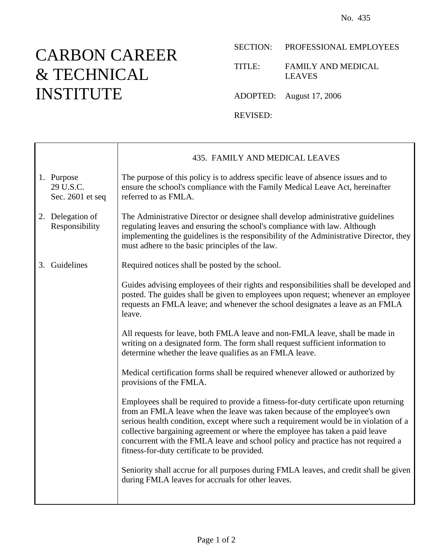## CARBON CAREER & TECHNICAL INSTITUTE

Г

## SECTION: PROFESSIONAL EMPLOYEES

TITLE: FAMILY AND MEDICAL LEAVES

ADOPTED: August 17, 2006

REVISED:

|    |                                             | 435. FAMILY AND MEDICAL LEAVES                                                                                                                                                                                                                                                                                                                                                                                                                                                |
|----|---------------------------------------------|-------------------------------------------------------------------------------------------------------------------------------------------------------------------------------------------------------------------------------------------------------------------------------------------------------------------------------------------------------------------------------------------------------------------------------------------------------------------------------|
|    | 1. Purpose<br>29 U.S.C.<br>Sec. 2601 et seq | The purpose of this policy is to address specific leave of absence issues and to<br>ensure the school's compliance with the Family Medical Leave Act, hereinafter<br>referred to as FMLA.                                                                                                                                                                                                                                                                                     |
|    | 2. Delegation of<br>Responsibility          | The Administrative Director or designee shall develop administrative guidelines<br>regulating leaves and ensuring the school's compliance with law. Although<br>implementing the guidelines is the responsibility of the Administrative Director, they<br>must adhere to the basic principles of the law.                                                                                                                                                                     |
| 3. | Guidelines                                  | Required notices shall be posted by the school.                                                                                                                                                                                                                                                                                                                                                                                                                               |
|    |                                             | Guides advising employees of their rights and responsibilities shall be developed and<br>posted. The guides shall be given to employees upon request; whenever an employee<br>requests an FMLA leave; and whenever the school designates a leave as an FMLA<br>leave.                                                                                                                                                                                                         |
|    |                                             | All requests for leave, both FMLA leave and non-FMLA leave, shall be made in<br>writing on a designated form. The form shall request sufficient information to<br>determine whether the leave qualifies as an FMLA leave.                                                                                                                                                                                                                                                     |
|    |                                             | Medical certification forms shall be required whenever allowed or authorized by<br>provisions of the FMLA.                                                                                                                                                                                                                                                                                                                                                                    |
|    |                                             | Employees shall be required to provide a fitness-for-duty certificate upon returning<br>from an FMLA leave when the leave was taken because of the employee's own<br>serious health condition, except where such a requirement would be in violation of a<br>collective bargaining agreement or where the employee has taken a paid leave<br>concurrent with the FMLA leave and school policy and practice has not required a<br>fitness-for-duty certificate to be provided. |
|    |                                             | Seniority shall accrue for all purposes during FMLA leaves, and credit shall be given<br>during FMLA leaves for accruals for other leaves.                                                                                                                                                                                                                                                                                                                                    |
|    |                                             |                                                                                                                                                                                                                                                                                                                                                                                                                                                                               |